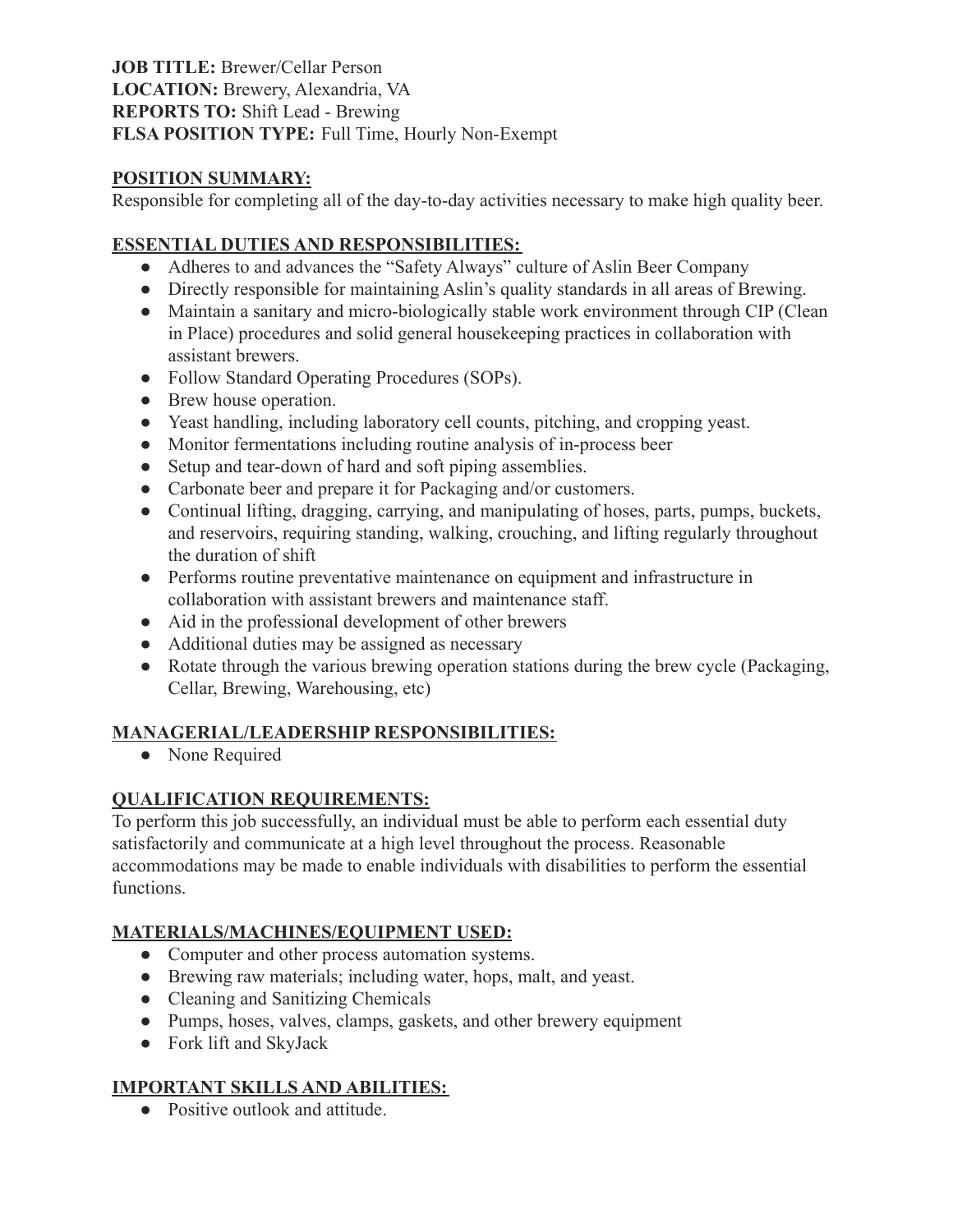**JOB TITLE:** Brewer/Cellar Person **LOCATION:** Brewery, Alexandria, VA **REPORTS TO:** Shift Lead - Brewing **FLSA POSITION TYPE:** Full Time, Hourly Non-Exempt

### **POSITION SUMMARY:**

Responsible for completing all of the day-to-day activities necessary to make high quality beer.

## **ESSENTIAL DUTIES AND RESPONSIBILITIES:**

- Adheres to and advances the "Safety Always" culture of Aslin Beer Company
- Directly responsible for maintaining Aslin's quality standards in all areas of Brewing.
- Maintain a sanitary and micro-biologically stable work environment through CIP (Clean in Place) procedures and solid general housekeeping practices in collaboration with assistant brewers.
- Follow Standard Operating Procedures (SOPs).
- Brew house operation.
- Yeast handling, including laboratory cell counts, pitching, and cropping yeast.
- Monitor fermentations including routine analysis of in-process beer
- Setup and tear-down of hard and soft piping assemblies.
- Carbonate beer and prepare it for Packaging and/or customers.
- Continual lifting, dragging, carrying, and manipulating of hoses, parts, pumps, buckets, and reservoirs, requiring standing, walking, crouching, and lifting regularly throughout the duration of shift
- Performs routine preventative maintenance on equipment and infrastructure in collaboration with assistant brewers and maintenance staff.
- Aid in the professional development of other brewers
- Additional duties may be assigned as necessary
- Rotate through the various brewing operation stations during the brew cycle (Packaging, Cellar, Brewing, Warehousing, etc)

## **MANAGERIAL/LEADERSHIP RESPONSIBILITIES:**

• None Required

# **QUALIFICATION REQUIREMENTS:**

To perform this job successfully, an individual must be able to perform each essential duty satisfactorily and communicate at a high level throughout the process. Reasonable accommodations may be made to enable individuals with disabilities to perform the essential functions.

# **MATERIALS/MACHINES/EQUIPMENT USED:**

- Computer and other process automation systems.
- Brewing raw materials; including water, hops, malt, and yeast.
- Cleaning and Sanitizing Chemicals
- Pumps, hoses, valves, clamps, gaskets, and other brewery equipment
- Fork lift and SkyJack

# **IMPORTANT SKILLS AND ABILITIES:**

● Positive outlook and attitude.